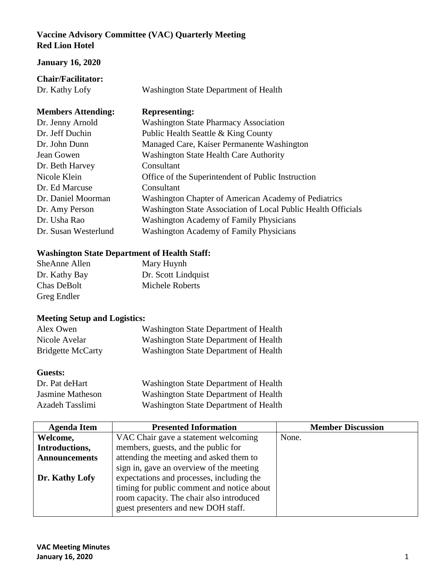# **Vaccine Advisory Committee (VAC) Quarterly Meeting Red Lion Hotel**

#### **January 16, 2020**

### **Chair/Facilitator:**

| Спан/гасппами:            |                                                               |  |
|---------------------------|---------------------------------------------------------------|--|
| Dr. Kathy Lofy            | Washington State Department of Health                         |  |
| <b>Members Attending:</b> | <b>Representing:</b>                                          |  |
| Dr. Jenny Arnold          | <b>Washington State Pharmacy Association</b>                  |  |
| Dr. Jeff Duchin           | Public Health Seattle & King County                           |  |
| Dr. John Dunn             | Managed Care, Kaiser Permanente Washington                    |  |
| Jean Gowen                | <b>Washington State Health Care Authority</b>                 |  |
| Dr. Beth Harvey           | Consultant                                                    |  |
| Nicole Klein              | Office of the Superintendent of Public Instruction            |  |
| Dr. Ed Marcuse            | Consultant                                                    |  |
| Dr. Daniel Moorman        | Washington Chapter of American Academy of Pediatrics          |  |
| Dr. Amy Person            | Washington State Association of Local Public Health Officials |  |
| Dr. Usha Rao              | <b>Washington Academy of Family Physicians</b>                |  |
| Dr. Susan Westerlund      | <b>Washington Academy of Family Physicians</b>                |  |

# **Washington State Department of Health Staff:**

SheAnne Allen Mary Huynh Dr. Kathy Bay Dr. Scott Lindquist Chas DeBolt Michele Roberts Greg Endler

# **Meeting Setup and Logistics:**

| Alex Owen                | Washington State Department of Health |
|--------------------------|---------------------------------------|
| Nicole Avelar            | Washington State Department of Health |
| <b>Bridgette McCarty</b> | Washington State Department of Health |

#### **Guests:**

Dr. Pat deHart Washington State Department of Health Jasmine Matheson Washington State Department of Health Azadeh Tasslimi Washington State Department of Health

| <b>Agenda Item</b>   | <b>Presented Information</b>               | <b>Member Discussion</b> |
|----------------------|--------------------------------------------|--------------------------|
| Welcome,             | VAC Chair gave a statement welcoming       | None.                    |
| Introductions,       | members, guests, and the public for        |                          |
| <b>Announcements</b> | attending the meeting and asked them to    |                          |
|                      | sign in, gave an overview of the meeting   |                          |
| Dr. Kathy Lofy       | expectations and processes, including the  |                          |
|                      | timing for public comment and notice about |                          |
|                      | room capacity. The chair also introduced   |                          |
|                      | guest presenters and new DOH staff.        |                          |
|                      |                                            |                          |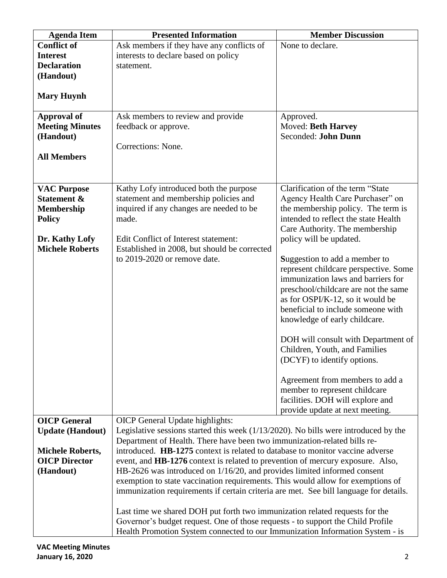| <b>Agenda Item</b>                    | <b>Presented Information</b>                                                                                                                                       | <b>Member Discussion</b>                                                 |
|---------------------------------------|--------------------------------------------------------------------------------------------------------------------------------------------------------------------|--------------------------------------------------------------------------|
| <b>Conflict of</b>                    | Ask members if they have any conflicts of                                                                                                                          | None to declare.                                                         |
| <b>Interest</b><br><b>Declaration</b> | interests to declare based on policy<br>statement.                                                                                                                 |                                                                          |
| (Handout)                             |                                                                                                                                                                    |                                                                          |
|                                       |                                                                                                                                                                    |                                                                          |
| <b>Mary Huynh</b>                     |                                                                                                                                                                    |                                                                          |
| <b>Approval of</b>                    | Ask members to review and provide                                                                                                                                  | Approved.                                                                |
| <b>Meeting Minutes</b><br>(Handout)   | feedback or approve.                                                                                                                                               | Moved: Beth Harvey<br>Seconded: John Dunn                                |
|                                       | Corrections: None.                                                                                                                                                 |                                                                          |
| <b>All Members</b>                    |                                                                                                                                                                    |                                                                          |
|                                       |                                                                                                                                                                    |                                                                          |
| <b>VAC Purpose</b>                    | Kathy Lofy introduced both the purpose                                                                                                                             | Clarification of the term "State                                         |
| <b>Statement &amp;</b>                | statement and membership policies and                                                                                                                              | Agency Health Care Purchaser" on                                         |
| <b>Membership</b>                     | inquired if any changes are needed to be                                                                                                                           | the membership policy. The term is                                       |
| <b>Policy</b>                         | made.                                                                                                                                                              | intended to reflect the state Health                                     |
| Dr. Kathy Lofy                        | Edit Conflict of Interest statement:                                                                                                                               | Care Authority. The membership<br>policy will be updated.                |
| <b>Michele Roberts</b>                | Established in 2008, but should be corrected                                                                                                                       |                                                                          |
|                                       | to 2019-2020 or remove date.                                                                                                                                       | Suggestion to add a member to                                            |
|                                       |                                                                                                                                                                    | represent childcare perspective. Some                                    |
|                                       |                                                                                                                                                                    | immunization laws and barriers for                                       |
|                                       |                                                                                                                                                                    | preschool/childcare are not the same<br>as for OSPI/K-12, so it would be |
|                                       |                                                                                                                                                                    | beneficial to include someone with                                       |
|                                       |                                                                                                                                                                    | knowledge of early childcare.                                            |
|                                       |                                                                                                                                                                    | DOH will consult with Department of                                      |
|                                       |                                                                                                                                                                    | Children, Youth, and Families                                            |
|                                       |                                                                                                                                                                    | (DCYF) to identify options.                                              |
|                                       |                                                                                                                                                                    |                                                                          |
|                                       |                                                                                                                                                                    | Agreement from members to add a<br>member to represent childcare         |
|                                       |                                                                                                                                                                    | facilities. DOH will explore and                                         |
|                                       |                                                                                                                                                                    | provide update at next meeting.                                          |
| <b>OICP</b> General                   | <b>OICP</b> General Update highlights:                                                                                                                             |                                                                          |
| <b>Update (Handout)</b>               | Legislative sessions started this week $(1/13/2020)$ . No bills were introduced by the<br>Department of Health. There have been two immunization-related bills re- |                                                                          |
| <b>Michele Roberts,</b>               | introduced. <b>HB-1275</b> context is related to database to monitor vaccine adverse                                                                               |                                                                          |
| <b>OICP Director</b>                  | event, and HB-1276 context is related to prevention of mercury exposure. Also,                                                                                     |                                                                          |
| (Handout)                             | HB-2626 was introduced on 1/16/20, and provides limited informed consent                                                                                           |                                                                          |
|                                       | exemption to state vaccination requirements. This would allow for exemptions of                                                                                    |                                                                          |
|                                       | immunization requirements if certain criteria are met. See bill language for details.                                                                              |                                                                          |
|                                       | Last time we shared DOH put forth two immunization related requests for the                                                                                        |                                                                          |
|                                       | Governor's budget request. One of those requests - to support the Child Profile                                                                                    |                                                                          |
|                                       | Health Promotion System connected to our Immunization Information System - is                                                                                      |                                                                          |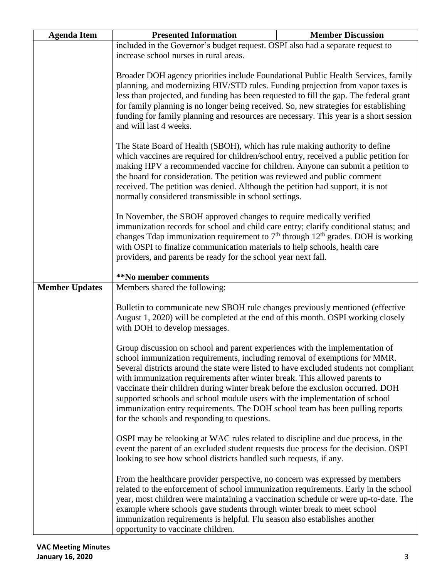| <b>Agenda Item</b>    | <b>Presented Information</b>                                                                                                                                                                                                                                                                                                                                                                                                                                                                                                                                                                                                                                                                                                                                                                                                                                                                                                                                                                                                                                                                                                                                                                                                                                                                                                                                          | <b>Member Discussion</b> |
|-----------------------|-----------------------------------------------------------------------------------------------------------------------------------------------------------------------------------------------------------------------------------------------------------------------------------------------------------------------------------------------------------------------------------------------------------------------------------------------------------------------------------------------------------------------------------------------------------------------------------------------------------------------------------------------------------------------------------------------------------------------------------------------------------------------------------------------------------------------------------------------------------------------------------------------------------------------------------------------------------------------------------------------------------------------------------------------------------------------------------------------------------------------------------------------------------------------------------------------------------------------------------------------------------------------------------------------------------------------------------------------------------------------|--------------------------|
|                       | included in the Governor's budget request. OSPI also had a separate request to                                                                                                                                                                                                                                                                                                                                                                                                                                                                                                                                                                                                                                                                                                                                                                                                                                                                                                                                                                                                                                                                                                                                                                                                                                                                                        |                          |
|                       | increase school nurses in rural areas.                                                                                                                                                                                                                                                                                                                                                                                                                                                                                                                                                                                                                                                                                                                                                                                                                                                                                                                                                                                                                                                                                                                                                                                                                                                                                                                                |                          |
|                       | Broader DOH agency priorities include Foundational Public Health Services, family<br>planning, and modernizing HIV/STD rules. Funding projection from vapor taxes is<br>less than projected, and funding has been requested to fill the gap. The federal grant<br>for family planning is no longer being received. So, new strategies for establishing<br>funding for family planning and resources are necessary. This year is a short session<br>and will last 4 weeks.<br>The State Board of Health (SBOH), which has rule making authority to define<br>which vaccines are required for children/school entry, received a public petition for<br>making HPV a recommended vaccine for children. Anyone can submit a petition to<br>the board for consideration. The petition was reviewed and public comment<br>received. The petition was denied. Although the petition had support, it is not<br>normally considered transmissible in school settings.<br>In November, the SBOH approved changes to require medically verified<br>immunization records for school and child care entry; clarify conditional status; and<br>changes Tdap immunization requirement to $7th$ through $12th$ grades. DOH is working<br>with OSPI to finalize communication materials to help schools, health care<br>providers, and parents be ready for the school year next fall. |                          |
|                       |                                                                                                                                                                                                                                                                                                                                                                                                                                                                                                                                                                                                                                                                                                                                                                                                                                                                                                                                                                                                                                                                                                                                                                                                                                                                                                                                                                       |                          |
|                       |                                                                                                                                                                                                                                                                                                                                                                                                                                                                                                                                                                                                                                                                                                                                                                                                                                                                                                                                                                                                                                                                                                                                                                                                                                                                                                                                                                       |                          |
|                       | **No member comments                                                                                                                                                                                                                                                                                                                                                                                                                                                                                                                                                                                                                                                                                                                                                                                                                                                                                                                                                                                                                                                                                                                                                                                                                                                                                                                                                  |                          |
| <b>Member Updates</b> | Members shared the following:                                                                                                                                                                                                                                                                                                                                                                                                                                                                                                                                                                                                                                                                                                                                                                                                                                                                                                                                                                                                                                                                                                                                                                                                                                                                                                                                         |                          |
|                       | Bulletin to communicate new SBOH rule changes previously mentioned (effective<br>August 1, 2020) will be completed at the end of this month. OSPI working closely<br>with DOH to develop messages.                                                                                                                                                                                                                                                                                                                                                                                                                                                                                                                                                                                                                                                                                                                                                                                                                                                                                                                                                                                                                                                                                                                                                                    |                          |
|                       | Group discussion on school and parent experiences with the implementation of<br>school immunization requirements, including removal of exemptions for MMR.<br>Several districts around the state were listed to have excluded students not compliant<br>with immunization requirements after winter break. This allowed parents to<br>vaccinate their children during winter break before the exclusion occurred. DOH<br>supported schools and school module users with the implementation of school<br>immunization entry requirements. The DOH school team has been pulling reports<br>for the schools and responding to questions.<br>OSPI may be relooking at WAC rules related to discipline and due process, in the<br>event the parent of an excluded student requests due process for the decision. OSPI<br>looking to see how school districts handled such requests, if any.<br>From the healthcare provider perspective, no concern was expressed by members<br>related to the enforcement of school immunization requirements. Early in the school<br>year, most children were maintaining a vaccination schedule or were up-to-date. The<br>example where schools gave students through winter break to meet school<br>immunization requirements is helpful. Flu season also establishes another<br>opportunity to vaccinate children.                   |                          |
|                       |                                                                                                                                                                                                                                                                                                                                                                                                                                                                                                                                                                                                                                                                                                                                                                                                                                                                                                                                                                                                                                                                                                                                                                                                                                                                                                                                                                       |                          |
|                       |                                                                                                                                                                                                                                                                                                                                                                                                                                                                                                                                                                                                                                                                                                                                                                                                                                                                                                                                                                                                                                                                                                                                                                                                                                                                                                                                                                       |                          |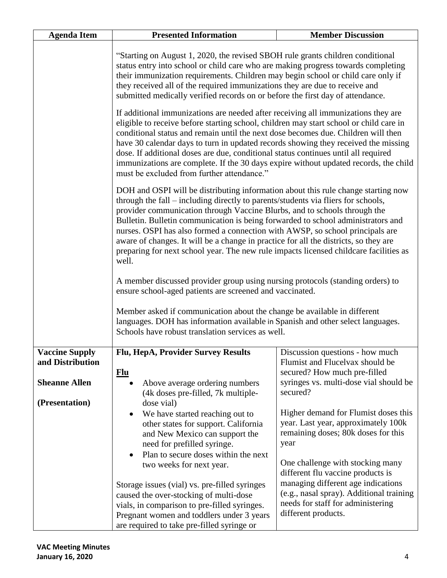| <b>Agenda Item</b>                                                                  | <b>Presented Information</b>                                                                                                                                                                                                                                                                                                                                                                                                                                                                                                                                                                                       | <b>Member Discussion</b>                                                                                                                                                        |  |
|-------------------------------------------------------------------------------------|--------------------------------------------------------------------------------------------------------------------------------------------------------------------------------------------------------------------------------------------------------------------------------------------------------------------------------------------------------------------------------------------------------------------------------------------------------------------------------------------------------------------------------------------------------------------------------------------------------------------|---------------------------------------------------------------------------------------------------------------------------------------------------------------------------------|--|
|                                                                                     | "Starting on August 1, 2020, the revised SBOH rule grants children conditional<br>status entry into school or child care who are making progress towards completing<br>their immunization requirements. Children may begin school or child care only if<br>they received all of the required immunizations they are due to receive and<br>submitted medically verified records on or before the first day of attendance.                                                                                                                                                                                           |                                                                                                                                                                                 |  |
|                                                                                     | If additional immunizations are needed after receiving all immunizations they are<br>eligible to receive before starting school, children may start school or child care in<br>conditional status and remain until the next dose becomes due. Children will then<br>have 30 calendar days to turn in updated records showing they received the missing<br>dose. If additional doses are due, conditional status continues until all required<br>immunizations are complete. If the 30 days expire without updated records, the child<br>must be excluded from further attendance."                                 |                                                                                                                                                                                 |  |
|                                                                                     | DOH and OSPI will be distributing information about this rule change starting now<br>through the fall - including directly to parents/students via fliers for schools,<br>provider communication through Vaccine Blurbs, and to schools through the<br>Bulletin. Bulletin communication is being forwarded to school administrators and<br>nurses. OSPI has also formed a connection with AWSP, so school principals are<br>aware of changes. It will be a change in practice for all the districts, so they are<br>preparing for next school year. The new rule impacts licensed childcare facilities as<br>well. |                                                                                                                                                                                 |  |
|                                                                                     | A member discussed provider group using nursing protocols (standing orders) to<br>ensure school-aged patients are screened and vaccinated.                                                                                                                                                                                                                                                                                                                                                                                                                                                                         |                                                                                                                                                                                 |  |
|                                                                                     | Member asked if communication about the change be available in different<br>languages. DOH has information available in Spanish and other select languages.<br>Schools have robust translation services as well.                                                                                                                                                                                                                                                                                                                                                                                                   |                                                                                                                                                                                 |  |
| <b>Vaccine Supply</b><br>and Distribution<br><b>Sheanne Allen</b><br>(Presentation) | Flu, HepA, Provider Survey Results<br>$Flu$<br>Above average ordering numbers<br>(4k doses pre-filled, 7k multiple-<br>dose vial)                                                                                                                                                                                                                                                                                                                                                                                                                                                                                  | Discussion questions - how much<br>Flumist and Flucelvax should be<br>secured? How much pre-filled<br>syringes vs. multi-dose vial should be<br>secured?                        |  |
|                                                                                     | We have started reaching out to<br>other states for support. California<br>and New Mexico can support the<br>need for prefilled syringe.<br>Plan to secure doses within the next<br>$\bullet$<br>two weeks for next year.                                                                                                                                                                                                                                                                                                                                                                                          | Higher demand for Flumist doses this<br>year. Last year, approximately 100k<br>remaining doses; 80k doses for this<br>year<br>One challenge with stocking many                  |  |
|                                                                                     | Storage issues (vial) vs. pre-filled syringes<br>caused the over-stocking of multi-dose<br>vials, in comparison to pre-filled syringes.<br>Pregnant women and toddlers under 3 years<br>are required to take pre-filled syringe or                                                                                                                                                                                                                                                                                                                                                                                 | different flu vaccine products is<br>managing different age indications<br>(e.g., nasal spray). Additional training<br>needs for staff for administering<br>different products. |  |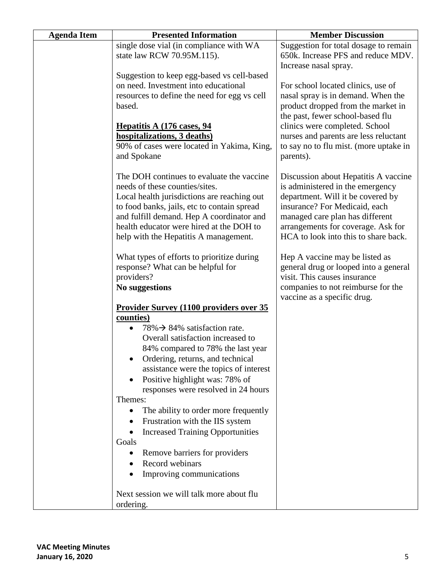| <b>Agenda Item</b> | <b>Presented Information</b>                      | <b>Member Discussion</b>               |
|--------------------|---------------------------------------------------|----------------------------------------|
|                    | single dose vial (in compliance with WA           | Suggestion for total dosage to remain  |
|                    | state law RCW 70.95M.115).                        | 650k. Increase PFS and reduce MDV.     |
|                    |                                                   | Increase nasal spray.                  |
|                    | Suggestion to keep egg-based vs cell-based        |                                        |
|                    | on need. Investment into educational              | For school located clinics, use of     |
|                    | resources to define the need for egg vs cell      | nasal spray is in demand. When the     |
|                    | based.                                            | product dropped from the market in     |
|                    |                                                   | the past, fewer school-based flu       |
|                    | <u>Hepatitis A (176 cases, 94</u>                 | clinics were completed. School         |
|                    | hospitalizations, 3 deaths)                       | nurses and parents are less reluctant  |
|                    | 90% of cases were located in Yakima, King,        | to say no to flu mist. (more uptake in |
|                    | and Spokane                                       | parents).                              |
|                    |                                                   |                                        |
|                    | The DOH continues to evaluate the vaccine         | Discussion about Hepatitis A vaccine   |
|                    | needs of these counties/sites.                    | is administered in the emergency       |
|                    | Local health jurisdictions are reaching out       | department. Will it be covered by      |
|                    | to food banks, jails, etc to contain spread       | insurance? For Medicaid, each          |
|                    | and fulfill demand. Hep A coordinator and         | managed care plan has different        |
|                    | health educator were hired at the DOH to          | arrangements for coverage. Ask for     |
|                    | help with the Hepatitis A management.             | HCA to look into this to share back.   |
|                    |                                                   |                                        |
|                    | What types of efforts to prioritize during        | Hep A vaccine may be listed as         |
|                    | response? What can be helpful for                 | general drug or looped into a general  |
|                    | providers?                                        | visit. This causes insurance           |
|                    | No suggestions                                    | companies to not reimburse for the     |
|                    |                                                   | vaccine as a specific drug.            |
|                    | <b>Provider Survey (1100 providers over 35</b>    |                                        |
|                    | counties)                                         |                                        |
|                    | $78\% \rightarrow 84\%$ satisfaction rate.        |                                        |
|                    | Overall satisfaction increased to                 |                                        |
|                    | 84% compared to 78% the last year                 |                                        |
|                    | Ordering, returns, and technical                  |                                        |
|                    | assistance were the topics of interest            |                                        |
|                    | Positive highlight was: 78% of                    |                                        |
|                    | responses were resolved in 24 hours               |                                        |
|                    | Themes:                                           |                                        |
|                    | The ability to order more frequently<br>$\bullet$ |                                        |
|                    | Frustration with the IIS system                   |                                        |
|                    |                                                   |                                        |
|                    | <b>Increased Training Opportunities</b>           |                                        |
|                    | Goals                                             |                                        |
|                    | Remove barriers for providers<br>$\bullet$        |                                        |
|                    | Record webinars                                   |                                        |
|                    | Improving communications                          |                                        |
|                    |                                                   |                                        |
|                    | Next session we will talk more about flu          |                                        |
|                    | ordering.                                         |                                        |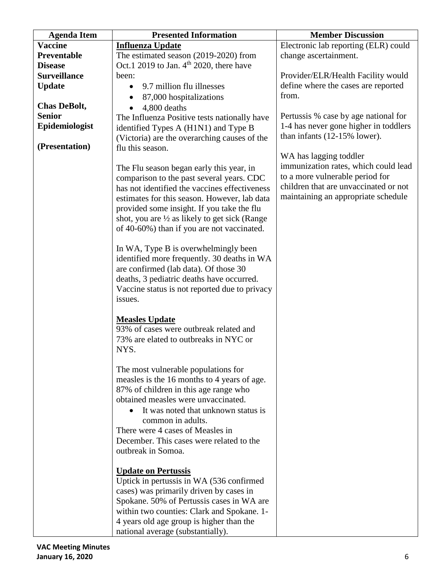| <b>Agenda Item</b>  | <b>Presented Information</b>                             | <b>Member Discussion</b>              |
|---------------------|----------------------------------------------------------|---------------------------------------|
| <b>Vaccine</b>      | <b>Influenza Update</b>                                  | Electronic lab reporting (ELR) could  |
| Preventable         | The estimated season (2019-2020) from                    | change ascertainment.                 |
| <b>Disease</b>      | Oct.1 2019 to Jan. 4 <sup>th</sup> 2020, there have      |                                       |
| <b>Surveillance</b> | been:                                                    | Provider/ELR/Health Facility would    |
| <b>Update</b>       | 9.7 million flu illnesses<br>$\bullet$                   | define where the cases are reported   |
|                     | 87,000 hospitalizations<br>$\bullet$                     | from.                                 |
| <b>Chas DeBolt,</b> | 4,800 deaths                                             |                                       |
| <b>Senior</b>       | The Influenza Positive tests nationally have             | Pertussis % case by age national for  |
| Epidemiologist      | identified Types A (H1N1) and Type B                     | 1-4 has never gone higher in toddlers |
|                     | (Victoria) are the overarching causes of the             | than infants $(12-15\%$ lower).       |
| (Presentation)      | flu this season.                                         |                                       |
|                     |                                                          | WA has lagging toddler                |
|                     | The Flu season began early this year, in                 | immunization rates, which could lead  |
|                     | comparison to the past several years. CDC                | to a more vulnerable period for       |
|                     | has not identified the vaccines effectiveness            | children that are unvaccinated or not |
|                     | estimates for this season. However, lab data             | maintaining an appropriate schedule   |
|                     | provided some insight. If you take the flu               |                                       |
|                     | shot, you are $\frac{1}{2}$ as likely to get sick (Range |                                       |
|                     | of 40-60%) than if you are not vaccinated.               |                                       |
|                     |                                                          |                                       |
|                     | In WA, Type B is overwhelmingly been                     |                                       |
|                     | identified more frequently. 30 deaths in WA              |                                       |
|                     | are confirmed (lab data). Of those 30                    |                                       |
|                     | deaths, 3 pediatric deaths have occurred.                |                                       |
|                     | Vaccine status is not reported due to privacy            |                                       |
|                     | issues.                                                  |                                       |
|                     |                                                          |                                       |
|                     | <b>Measles Update</b>                                    |                                       |
|                     | 93% of cases were outbreak related and                   |                                       |
|                     | 73% are elated to outbreaks in NYC or                    |                                       |
|                     | NYS.                                                     |                                       |
|                     |                                                          |                                       |
|                     | The most vulnerable populations for                      |                                       |
|                     | measles is the 16 months to 4 years of age.              |                                       |
|                     | 87% of children in this age range who                    |                                       |
|                     | obtained measles were unvaccinated.                      |                                       |
|                     | It was noted that unknown status is                      |                                       |
|                     | common in adults.                                        |                                       |
|                     | There were 4 cases of Measles in                         |                                       |
|                     | December. This cases were related to the                 |                                       |
|                     | outbreak in Somoa.                                       |                                       |
|                     |                                                          |                                       |
|                     | <b>Update on Pertussis</b>                               |                                       |
|                     | Uptick in pertussis in WA (536 confirmed                 |                                       |
|                     | cases) was primarily driven by cases in                  |                                       |
|                     | Spokane. 50% of Pertussis cases in WA are                |                                       |
|                     | within two counties: Clark and Spokane. 1-               |                                       |
|                     | 4 years old age group is higher than the                 |                                       |
|                     | national average (substantially).                        |                                       |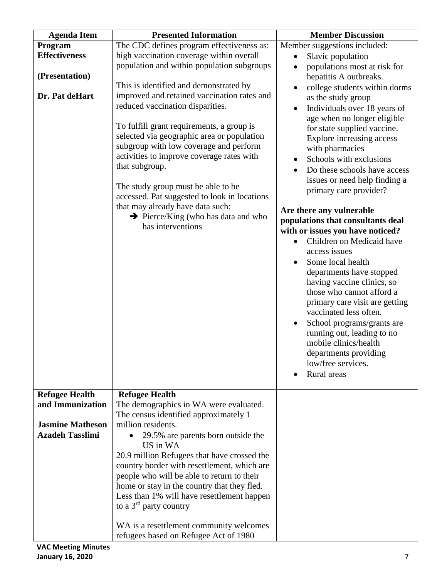| <b>Agenda Item</b>      | <b>Presented Information</b>                    | <b>Member Discussion</b>                                 |
|-------------------------|-------------------------------------------------|----------------------------------------------------------|
| Program                 | The CDC defines program effectiveness as:       | Member suggestions included:                             |
| <b>Effectiveness</b>    | high vaccination coverage within overall        | Slavic population<br>$\bullet$                           |
|                         | population and within population subgroups      | populations most at risk for                             |
| (Presentation)          |                                                 | hepatitis A outbreaks.                                   |
|                         | This is identified and demonstrated by          | college students within dorms                            |
| Dr. Pat deHart          | improved and retained vaccination rates and     | as the study group                                       |
|                         | reduced vaccination disparities.                | Individuals over 18 years of<br>$\bullet$                |
|                         |                                                 | age when no longer eligible                              |
|                         | To fulfill grant requirements, a group is       | for state supplied vaccine.                              |
|                         | selected via geographic area or population      | Explore increasing access                                |
|                         | subgroup with low coverage and perform          | with pharmacies                                          |
|                         | activities to improve coverage rates with       | Schools with exclusions                                  |
|                         | that subgroup.                                  | Do these schools have access<br>$\bullet$                |
|                         |                                                 | issues or need help finding a                            |
|                         | The study group must be able to be              | primary care provider?                                   |
|                         | accessed. Pat suggested to look in locations    |                                                          |
|                         | that may already have data such:                | Are there any vulnerable                                 |
|                         | $\rightarrow$ Pierce/King (who has data and who | populations that consultants deal                        |
|                         | has interventions                               | with or issues you have noticed?                         |
|                         |                                                 | Children on Medicaid have                                |
|                         |                                                 | access issues                                            |
|                         |                                                 | Some local health                                        |
|                         |                                                 | departments have stopped                                 |
|                         |                                                 | having vaccine clinics, so                               |
|                         |                                                 | those who cannot afford a                                |
|                         |                                                 |                                                          |
|                         |                                                 | primary care visit are getting<br>vaccinated less often. |
|                         |                                                 |                                                          |
|                         |                                                 | School programs/grants are                               |
|                         |                                                 | running out, leading to no<br>mobile clinics/health      |
|                         |                                                 |                                                          |
|                         |                                                 | departments providing                                    |
|                         |                                                 | low/free services.                                       |
|                         |                                                 | Rural areas                                              |
| <b>Refugee Health</b>   | <b>Refugee Health</b>                           |                                                          |
| and Immunization        | The demographics in WA were evaluated.          |                                                          |
|                         | The census identified approximately 1           |                                                          |
| <b>Jasmine Matheson</b> | million residents.                              |                                                          |
| <b>Azadeh Tasslimi</b>  | 29.5% are parents born outside the<br>$\bullet$ |                                                          |
|                         | US in WA                                        |                                                          |
|                         | 20.9 million Refugees that have crossed the     |                                                          |
|                         | country border with resettlement, which are     |                                                          |
|                         | people who will be able to return to their      |                                                          |
|                         | home or stay in the country that they fled.     |                                                          |
|                         | Less than 1% will have resettlement happen      |                                                          |
|                         | to a $3rd$ party country                        |                                                          |
|                         |                                                 |                                                          |
|                         | WA is a resettlement community welcomes         |                                                          |
|                         | refugees based on Refugee Act of 1980           |                                                          |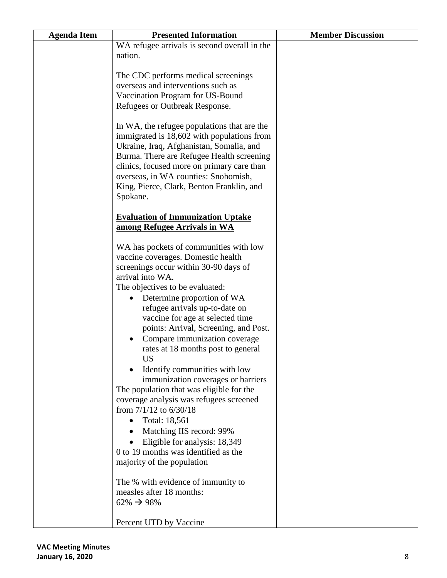| <b>Agenda Item</b> | <b>Presented Information</b>                 | <b>Member Discussion</b> |
|--------------------|----------------------------------------------|--------------------------|
|                    | WA refugee arrivals is second overall in the |                          |
|                    | nation.                                      |                          |
|                    |                                              |                          |
|                    | The CDC performs medical screenings          |                          |
|                    | overseas and interventions such as           |                          |
|                    | Vaccination Program for US-Bound             |                          |
|                    | Refugees or Outbreak Response.               |                          |
|                    |                                              |                          |
|                    | In WA, the refugee populations that are the  |                          |
|                    | immigrated is 18,602 with populations from   |                          |
|                    | Ukraine, Iraq, Afghanistan, Somalia, and     |                          |
|                    | Burma. There are Refugee Health screening    |                          |
|                    | clinics, focused more on primary care than   |                          |
|                    | overseas, in WA counties: Snohomish,         |                          |
|                    | King, Pierce, Clark, Benton Franklin, and    |                          |
|                    | Spokane.                                     |                          |
|                    |                                              |                          |
|                    | <b>Evaluation of Immunization Uptake</b>     |                          |
|                    | among Refugee Arrivals in WA                 |                          |
|                    | WA has pockets of communities with low       |                          |
|                    | vaccine coverages. Domestic health           |                          |
|                    | screenings occur within 30-90 days of        |                          |
|                    | arrival into WA.                             |                          |
|                    | The objectives to be evaluated:              |                          |
|                    | Determine proportion of WA                   |                          |
|                    | refugee arrivals up-to-date on               |                          |
|                    | vaccine for age at selected time             |                          |
|                    | points: Arrival, Screening, and Post.        |                          |
|                    | Compare immunization coverage<br>٠           |                          |
|                    | rates at 18 months post to general           |                          |
|                    | US                                           |                          |
|                    | Identify communities with low                |                          |
|                    | immunization coverages or barriers           |                          |
|                    | The population that was eligible for the     |                          |
|                    | coverage analysis was refugees screened      |                          |
|                    | from $7/1/12$ to $6/30/18$                   |                          |
|                    | Total: 18,561                                |                          |
|                    | Matching IIS record: 99%                     |                          |
|                    | Eligible for analysis: 18,349                |                          |
|                    | 0 to 19 months was identified as the         |                          |
|                    | majority of the population                   |                          |
|                    | The % with evidence of immunity to           |                          |
|                    | measles after 18 months:                     |                          |
|                    | $62\% \rightarrow 98\%$                      |                          |
|                    |                                              |                          |
|                    | Percent UTD by Vaccine                       |                          |